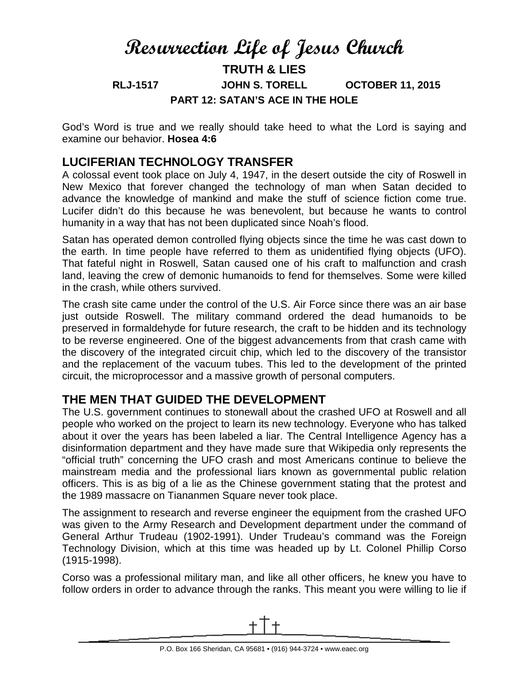# **Resurrection Life of Jesus Church TRUTH & LIES RLJ-1517 JOHN S. TORELL OCTOBER 11, 2015 PART 12: SATAN'S ACE IN THE HOLE**

God's Word is true and we really should take heed to what the Lord is saying and examine our behavior. **Hosea 4:6**

## **LUCIFERIAN TECHNOLOGY TRANSFER**

A colossal event took place on July 4, 1947, in the desert outside the city of Roswell in New Mexico that forever changed the technology of man when Satan decided to advance the knowledge of mankind and make the stuff of science fiction come true. Lucifer didn't do this because he was benevolent, but because he wants to control humanity in a way that has not been duplicated since Noah's flood.

Satan has operated demon controlled flying objects since the time he was cast down to the earth. In time people have referred to them as unidentified flying objects (UFO). That fateful night in Roswell, Satan caused one of his craft to malfunction and crash land, leaving the crew of demonic humanoids to fend for themselves. Some were killed in the crash, while others survived.

The crash site came under the control of the U.S. Air Force since there was an air base just outside Roswell. The military command ordered the dead humanoids to be preserved in formaldehyde for future research, the craft to be hidden and its technology to be reverse engineered. One of the biggest advancements from that crash came with the discovery of the integrated circuit chip, which led to the discovery of the transistor and the replacement of the vacuum tubes. This led to the development of the printed circuit, the microprocessor and a massive growth of personal computers.

## **THE MEN THAT GUIDED THE DEVELOPMENT**

The U.S. government continues to stonewall about the crashed UFO at Roswell and all people who worked on the project to learn its new technology. Everyone who has talked about it over the years has been labeled a liar. The Central Intelligence Agency has a disinformation department and they have made sure that Wikipedia only represents the "official truth" concerning the UFO crash and most Americans continue to believe the mainstream media and the professional liars known as governmental public relation officers. This is as big of a lie as the Chinese government stating that the protest and the 1989 massacre on Tiananmen Square never took place.

The assignment to research and reverse engineer the equipment from the crashed UFO was given to the Army Research and Development department under the command of General Arthur Trudeau (1902-1991). Under Trudeau's command was the Foreign Technology Division, which at this time was headed up by Lt. Colonel Phillip Corso (1915-1998).

Corso was a professional military man, and like all other officers, he knew you have to follow orders in order to advance through the ranks. This meant you were willing to lie if

<span id="page-0-0"></span>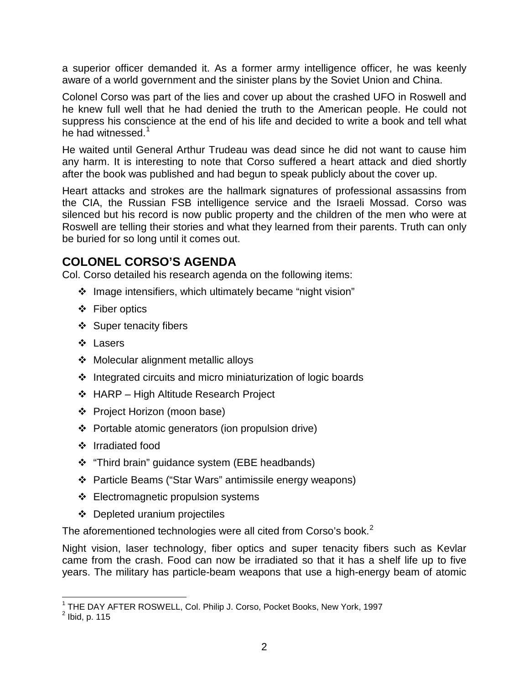a superior officer demanded it. As a former army intelligence officer, he was keenly aware of a world government and the sinister plans by the Soviet Union and China.

Colonel Corso was part of the lies and cover up about the crashed UFO in Roswell and he knew full well that he had denied the truth to the American people. He could not suppress his conscience at the end of his life and decided to write a book and tell what he had witnessed.<sup>[1](#page-0-0)</sup>

He waited until General Arthur Trudeau was dead since he did not want to cause him any harm. It is interesting to note that Corso suffered a heart attack and died shortly after the book was published and had begun to speak publicly about the cover up.

Heart attacks and strokes are the hallmark signatures of professional assassins from the CIA, the Russian FSB intelligence service and the Israeli Mossad. Corso was silenced but his record is now public property and the children of the men who were at Roswell are telling their stories and what they learned from their parents. Truth can only be buried for so long until it comes out.

# **COLONEL CORSO'S AGENDA**

Col. Corso detailed his research agenda on the following items:

- $\div$  Image intensifiers, which ultimately became "night vision"
- Fiber optics
- $\div$  Super tenacity fibers
- ❖ Lasers
- ❖ Molecular alignment metallic alloys
- $\cdot$  Integrated circuits and micro miniaturization of logic boards
- ❖ HARP High Altitude Research Project
- Project Horizon (moon base)
- Portable atomic generators (ion propulsion drive)
- ❖ Irradiated food
- \* "Third brain" guidance system (EBE headbands)
- Particle Beams ("Star Wars" antimissile energy weapons)
- ❖ Electromagnetic propulsion systems
- Depleted uranium projectiles

The aforementioned technologies were all cited from Corso's book.<sup>[2](#page-1-0)</sup>

Night vision, laser technology, fiber optics and super tenacity fibers such as Kevlar came from the crash. Food can now be irradiated so that it has a shelf life up to five years. The military has particle-beam weapons that use a high-energy beam of atomic

ı

<sup>&</sup>lt;sup>1</sup> THE DAY AFTER ROSWELL, Col. Philip J. Corso, Pocket Books, New York, 1997

<span id="page-1-1"></span><span id="page-1-0"></span> $<sup>2</sup>$  Ibid, p. 115</sup>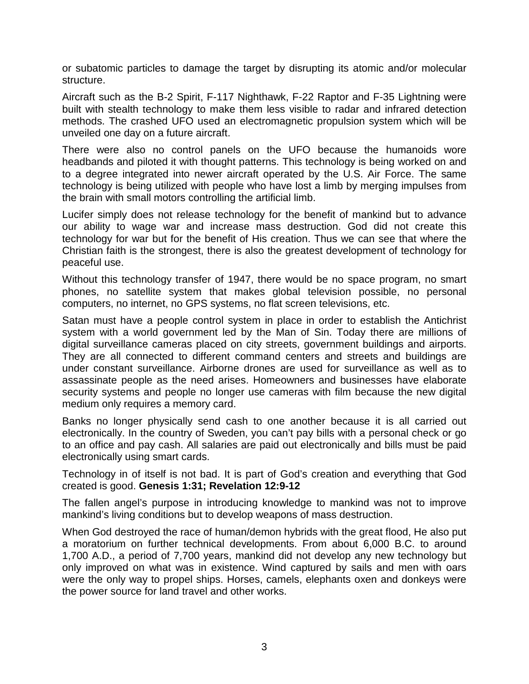or subatomic particles to damage the target by disrupting its atomic and/or molecular structure.

Aircraft such as the B-2 Spirit, F-117 Nighthawk, F-22 Raptor and F-35 Lightning were built with stealth technology to make them less visible to radar and infrared detection methods. The crashed UFO used an electromagnetic propulsion system which will be unveiled one day on a future aircraft.

There were also no control panels on the UFO because the humanoids wore headbands and piloted it with thought patterns. This technology is being worked on and to a degree integrated into newer aircraft operated by the U.S. Air Force. The same technology is being utilized with people who have lost a limb by merging impulses from the brain with small motors controlling the artificial limb.

Lucifer simply does not release technology for the benefit of mankind but to advance our ability to wage war and increase mass destruction. God did not create this technology for war but for the benefit of His creation. Thus we can see that where the Christian faith is the strongest, there is also the greatest development of technology for peaceful use.

Without this technology transfer of 1947, there would be no space program, no smart phones, no satellite system that makes global television possible, no personal computers, no internet, no GPS systems, no flat screen televisions, etc.

Satan must have a people control system in place in order to establish the Antichrist system with a world government led by the Man of Sin. Today there are millions of digital surveillance cameras placed on city streets, government buildings and airports. They are all connected to different command centers and streets and buildings are under constant surveillance. Airborne drones are used for surveillance as well as to assassinate people as the need arises. Homeowners and businesses have elaborate security systems and people no longer use cameras with film because the new digital medium only requires a memory card.

Banks no longer physically send cash to one another because it is all carried out electronically. In the country of Sweden, you can't pay bills with a personal check or go to an office and pay cash. All salaries are paid out electronically and bills must be paid electronically using smart cards.

Technology in of itself is not bad. It is part of God's creation and everything that God created is good. **Genesis 1:31; Revelation 12:9-12**

The fallen angel's purpose in introducing knowledge to mankind was not to improve mankind's living conditions but to develop weapons of mass destruction.

When God destroyed the race of human/demon hybrids with the great flood, He also put a moratorium on further technical developments. From about 6,000 B.C. to around 1,700 A.D., a period of 7,700 years, mankind did not develop any new technology but only improved on what was in existence. Wind captured by sails and men with oars were the only way to propel ships. Horses, camels, elephants oxen and donkeys were the power source for land travel and other works.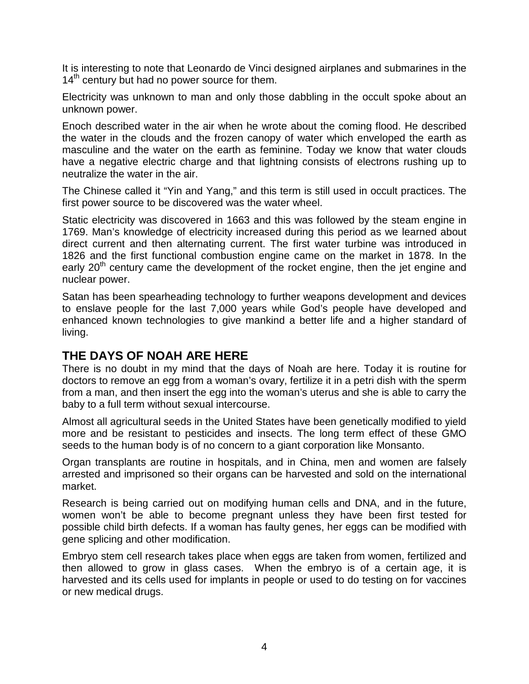It is interesting to note that Leonardo de Vinci designed airplanes and submarines in the  $14<sup>th</sup>$  century but had no power source for them.

Electricity was unknown to man and only those dabbling in the occult spoke about an unknown power.

Enoch described water in the air when he wrote about the coming flood. He described the water in the clouds and the frozen canopy of water which enveloped the earth as masculine and the water on the earth as feminine. Today we know that water clouds have a negative electric charge and that lightning consists of electrons rushing up to neutralize the water in the air.

The Chinese called it "Yin and Yang," and this term is still used in occult practices. The first power source to be discovered was the water wheel.

Static electricity was discovered in 1663 and this was followed by the steam engine in 1769. Man's knowledge of electricity increased during this period as we learned about direct current and then alternating current. The first water turbine was introduced in 1826 and the first functional combustion engine came on the market in 1878. In the early  $20<sup>th</sup>$  century came the development of the rocket engine, then the jet engine and nuclear power.

Satan has been spearheading technology to further weapons development and devices to enslave people for the last 7,000 years while God's people have developed and enhanced known technologies to give mankind a better life and a higher standard of living.

#### **THE DAYS OF NOAH ARE HERE**

There is no doubt in my mind that the days of Noah are here. Today it is routine for doctors to remove an egg from a woman's ovary, fertilize it in a petri dish with the sperm from a man, and then insert the egg into the woman's uterus and she is able to carry the baby to a full term without sexual intercourse.

Almost all agricultural seeds in the United States have been genetically modified to yield more and be resistant to pesticides and insects. The long term effect of these GMO seeds to the human body is of no concern to a giant corporation like Monsanto.

Organ transplants are routine in hospitals, and in China, men and women are falsely arrested and imprisoned so their organs can be harvested and sold on the international market.

Research is being carried out on modifying human cells and DNA, and in the future, women won't be able to become pregnant unless they have been first tested for possible child birth defects. If a woman has faulty genes, her eggs can be modified with gene splicing and other modification.

Embryo stem cell research takes place when eggs are taken from women, fertilized and then allowed to grow in glass cases. When the embryo is of a certain age, it is harvested and its cells used for implants in people or used to do testing on for vaccines or new medical drugs.